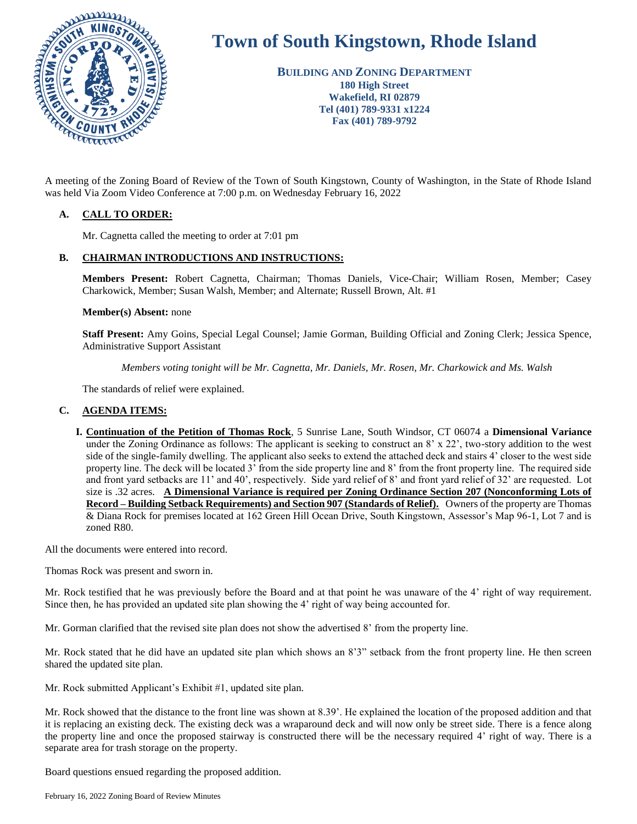

# **Town of South Kingstown, Rhode Island**

**BUILDING AND ZONING DEPARTMENT 180 High Street Wakefield, RI 02879 Tel (401) 789-9331 x1224 Fax (401) 789-9792**

was held Via Zoom Video Conference at 7:00 p.m. on Wednesday February 16, 2022

## **A. CALL TO ORDER:**

Mr. Cagnetta called the meeting to order at 7:01 pm

## **B. CHAIRMAN INTRODUCTIONS AND INSTRUCTIONS:**

**Members Present:** Robert Cagnetta, Chairman; Thomas Daniels, Vice-Chair; William Rosen, Member; Casey Charkowick, Member; Susan Walsh, Member; and Alternate; Russell Brown, Alt. #1

#### **Member(s) Absent:** none

**Staff Present:** Amy Goins, Special Legal Counsel; Jamie Gorman, Building Official and Zoning Clerk; Jessica Spence, Administrative Support Assistant

*Members voting tonight will be Mr. Cagnetta, Mr. Daniels, Mr. Rosen, Mr. Charkowick and Ms. Walsh*

The standards of relief were explained.

## **C. AGENDA ITEMS:**

**I. Continuation of the Petition of Thomas Rock**, 5 Sunrise Lane, South Windsor, CT 06074 a **Dimensional Variance** under the Zoning Ordinance as follows: The applicant is seeking to construct an  $8' \times 22'$ , two-story addition to the west side of the single-family dwelling. The applicant also seeks to extend the attached deck and stairs 4' closer to the west side property line. The deck will be located 3' from the side property line and 8' from the front property line. The required side and front yard setbacks are 11' and 40', respectively. Side yard relief of 8' and front yard relief of 32' are requested. Lot size is .32 acres. **A Dimensional Variance is required per Zoning Ordinance Section 207 (Nonconforming Lots of Record – Building Setback Requirements) and Section 907 (Standards of Relief).** Owners of the property are Thomas & Diana Rock for premises located at 162 Green Hill Ocean Drive, South Kingstown, Assessor's Map 96-1, Lot 7 and is zoned R80.

All the documents were entered into record.

Thomas Rock was present and sworn in.

Mr. Rock testified that he was previously before the Board and at that point he was unaware of the 4' right of way requirement. Since then, he has provided an updated site plan showing the 4' right of way being accounted for.

Mr. Gorman clarified that the revised site plan does not show the advertised 8' from the property line.

Mr. Rock stated that he did have an updated site plan which shows an 8'3" setback from the front property line. He then screen shared the updated site plan.

Mr. Rock submitted Applicant's Exhibit #1, updated site plan.

Mr. Rock showed that the distance to the front line was shown at 8.39'. He explained the location of the proposed addition and that it is replacing an existing deck. The existing deck was a wraparound deck and will now only be street side. There is a fence along the property line and once the proposed stairway is constructed there will be the necessary required 4' right of way. There is a separate area for trash storage on the property.

Board questions ensued regarding the proposed addition.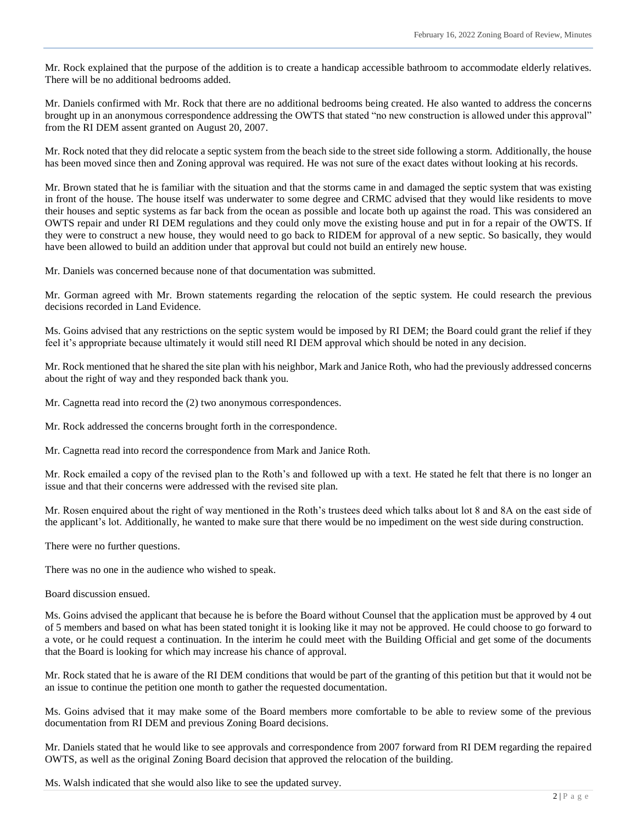Mr. Rock explained that the purpose of the addition is to create a handicap accessible bathroom to accommodate elderly relatives. There will be no additional bedrooms added.

Mr. Daniels confirmed with Mr. Rock that there are no additional bedrooms being created. He also wanted to address the concerns brought up in an anonymous correspondence addressing the OWTS that stated "no new construction is allowed under this approval" from the RI DEM assent granted on August 20, 2007.

Mr. Rock noted that they did relocate a septic system from the beach side to the street side following a storm. Additionally, the house has been moved since then and Zoning approval was required. He was not sure of the exact dates without looking at his records.

Mr. Brown stated that he is familiar with the situation and that the storms came in and damaged the septic system that was existing in front of the house. The house itself was underwater to some degree and CRMC advised that they would like residents to move their houses and septic systems as far back from the ocean as possible and locate both up against the road. This was considered an OWTS repair and under RI DEM regulations and they could only move the existing house and put in for a repair of the OWTS. If they were to construct a new house, they would need to go back to RIDEM for approval of a new septic. So basically, they would have been allowed to build an addition under that approval but could not build an entirely new house.

Mr. Daniels was concerned because none of that documentation was submitted.

Mr. Gorman agreed with Mr. Brown statements regarding the relocation of the septic system. He could research the previous decisions recorded in Land Evidence.

Ms. Goins advised that any restrictions on the septic system would be imposed by RI DEM; the Board could grant the relief if they feel it's appropriate because ultimately it would still need RI DEM approval which should be noted in any decision.

Mr. Rock mentioned that he shared the site plan with his neighbor, Mark and Janice Roth, who had the previously addressed concerns about the right of way and they responded back thank you.

Mr. Cagnetta read into record the (2) two anonymous correspondences.

Mr. Rock addressed the concerns brought forth in the correspondence.

Mr. Cagnetta read into record the correspondence from Mark and Janice Roth.

Mr. Rock emailed a copy of the revised plan to the Roth's and followed up with a text. He stated he felt that there is no longer an issue and that their concerns were addressed with the revised site plan.

Mr. Rosen enquired about the right of way mentioned in the Roth's trustees deed which talks about lot 8 and 8A on the east side of the applicant's lot. Additionally, he wanted to make sure that there would be no impediment on the west side during construction.

There were no further questions.

There was no one in the audience who wished to speak.

Board discussion ensued.

Ms. Goins advised the applicant that because he is before the Board without Counsel that the application must be approved by 4 out of 5 members and based on what has been stated tonight it is looking like it may not be approved. He could choose to go forward to a vote, or he could request a continuation. In the interim he could meet with the Building Official and get some of the documents that the Board is looking for which may increase his chance of approval.

Mr. Rock stated that he is aware of the RI DEM conditions that would be part of the granting of this petition but that it would not be an issue to continue the petition one month to gather the requested documentation.

Ms. Goins advised that it may make some of the Board members more comfortable to be able to review some of the previous documentation from RI DEM and previous Zoning Board decisions.

Mr. Daniels stated that he would like to see approvals and correspondence from 2007 forward from RI DEM regarding the repaired OWTS, as well as the original Zoning Board decision that approved the relocation of the building.

Ms. Walsh indicated that she would also like to see the updated survey.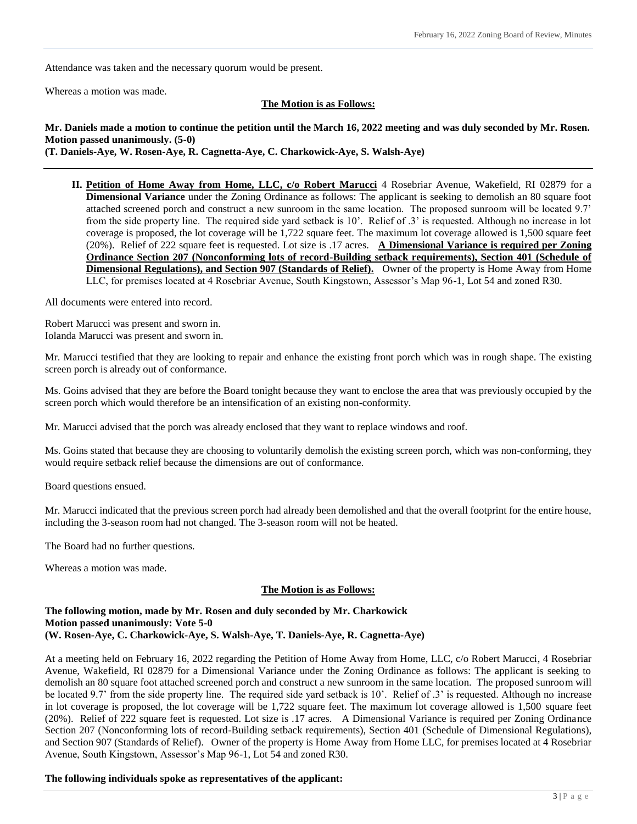Attendance was taken and the necessary quorum would be present.

Whereas a motion was made.

#### **The Motion is as Follows:**

## **Mr. Daniels made a motion to continue the petition until the March 16, 2022 meeting and was duly seconded by Mr. Rosen. Motion passed unanimously. (5-0)**

**(T. Daniels-Aye, W. Rosen-Aye, R. Cagnetta-Aye, C. Charkowick-Aye, S. Walsh-Aye)**

**II. Petition of Home Away from Home, LLC, c/o Robert Marucci** 4 Rosebriar Avenue, Wakefield, RI 02879 for a **Dimensional Variance** under the Zoning Ordinance as follows: The applicant is seeking to demolish an 80 square foot attached screened porch and construct a new sunroom in the same location. The proposed sunroom will be located 9.7' from the side property line. The required side yard setback is 10'. Relief of .3' is requested. Although no increase in lot coverage is proposed, the lot coverage will be 1,722 square feet. The maximum lot coverage allowed is 1,500 square feet (20%). Relief of 222 square feet is requested. Lot size is .17 acres. **A Dimensional Variance is required per Zoning Ordinance Section 207 (Nonconforming lots of record-Building setback requirements), Section 401 (Schedule of Dimensional Regulations), and Section 907 (Standards of Relief).** Owner of the property is Home Away from Home LLC, for premises located at 4 Rosebriar Avenue, South Kingstown, Assessor's Map 96-1, Lot 54 and zoned R30.

All documents were entered into record.

Robert Marucci was present and sworn in. Iolanda Marucci was present and sworn in.

Mr. Marucci testified that they are looking to repair and enhance the existing front porch which was in rough shape. The existing screen porch is already out of conformance.

Ms. Goins advised that they are before the Board tonight because they want to enclose the area that was previously occupied by the screen porch which would therefore be an intensification of an existing non-conformity.

Mr. Marucci advised that the porch was already enclosed that they want to replace windows and roof.

Ms. Goins stated that because they are choosing to voluntarily demolish the existing screen porch, which was non-conforming, they would require setback relief because the dimensions are out of conformance.

Board questions ensued.

Mr. Marucci indicated that the previous screen porch had already been demolished and that the overall footprint for the entire house, including the 3-season room had not changed. The 3-season room will not be heated.

The Board had no further questions.

Whereas a motion was made.

#### **The Motion is as Follows:**

#### **The following motion, made by Mr. Rosen and duly seconded by Mr. Charkowick Motion passed unanimously: Vote 5-0 (W. Rosen-Aye, C. Charkowick-Aye, S. Walsh-Aye, T. Daniels-Aye, R. Cagnetta-Aye)**

At a meeting held on February 16, 2022 regarding the Petition of Home Away from Home, LLC, c/o Robert Marucci, 4 Rosebriar Avenue, Wakefield, RI 02879 for a Dimensional Variance under the Zoning Ordinance as follows: The applicant is seeking to demolish an 80 square foot attached screened porch and construct a new sunroom in the same location. The proposed sunroom will be located 9.7' from the side property line. The required side yard setback is 10'. Relief of .3' is requested. Although no increase in lot coverage is proposed, the lot coverage will be 1,722 square feet. The maximum lot coverage allowed is 1,500 square feet (20%). Relief of 222 square feet is requested. Lot size is .17 acres. A Dimensional Variance is required per Zoning Ordinance Section 207 (Nonconforming lots of record-Building setback requirements), Section 401 (Schedule of Dimensional Regulations), and Section 907 (Standards of Relief). Owner of the property is Home Away from Home LLC, for premises located at 4 Rosebriar Avenue, South Kingstown, Assessor's Map 96-1, Lot 54 and zoned R30.

#### **The following individuals spoke as representatives of the applicant:**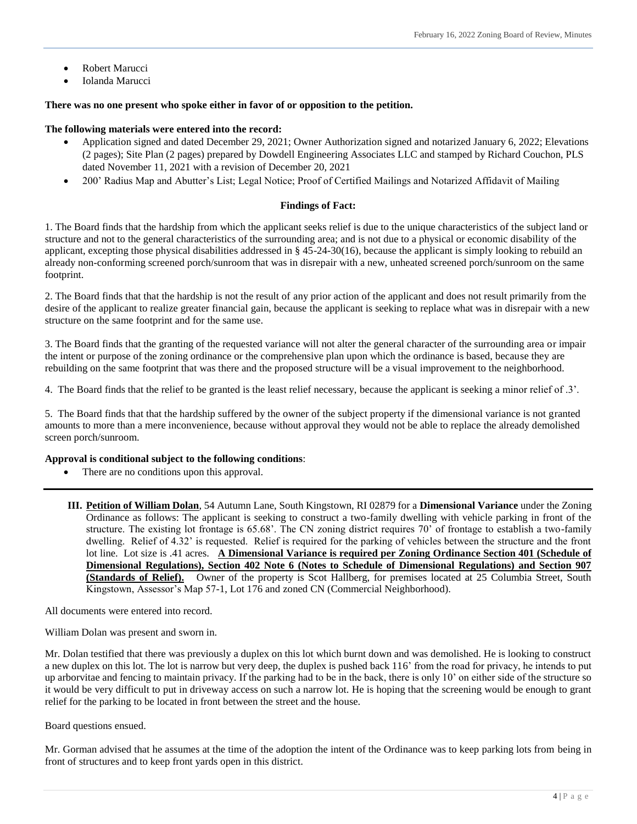- Robert Marucci
- Iolanda Marucci

#### **There was no one present who spoke either in favor of or opposition to the petition.**

#### **The following materials were entered into the record:**

- Application signed and dated December 29, 2021; Owner Authorization signed and notarized January 6, 2022; Elevations (2 pages); Site Plan (2 pages) prepared by Dowdell Engineering Associates LLC and stamped by Richard Couchon, PLS dated November 11, 2021 with a revision of December 20, 2021
- 200' Radius Map and Abutter's List; Legal Notice; Proof of Certified Mailings and Notarized Affidavit of Mailing

#### **Findings of Fact:**

1. The Board finds that the hardship from which the applicant seeks relief is due to the unique characteristics of the subject land or structure and not to the general characteristics of the surrounding area; and is not due to a physical or economic disability of the applicant, excepting those physical disabilities addressed in § 45-24-30(16), because the applicant is simply looking to rebuild an already non-conforming screened porch/sunroom that was in disrepair with a new, unheated screened porch/sunroom on the same footprint.

2. The Board finds that that the hardship is not the result of any prior action of the applicant and does not result primarily from the desire of the applicant to realize greater financial gain, because the applicant is seeking to replace what was in disrepair with a new structure on the same footprint and for the same use.

3. The Board finds that the granting of the requested variance will not alter the general character of the surrounding area or impair the intent or purpose of the zoning ordinance or the comprehensive plan upon which the ordinance is based, because they are rebuilding on the same footprint that was there and the proposed structure will be a visual improvement to the neighborhood.

4. The Board finds that the relief to be granted is the least relief necessary, because the applicant is seeking a minor relief of .3'.

5. The Board finds that that the hardship suffered by the owner of the subject property if the dimensional variance is not granted amounts to more than a mere inconvenience, because without approval they would not be able to replace the already demolished screen porch/sunroom.

#### **Approval is conditional subject to the following conditions**:

- There are no conditions upon this approval.
- **III. Petition of William Dolan**, 54 Autumn Lane, South Kingstown, RI 02879 for a **Dimensional Variance** under the Zoning Ordinance as follows: The applicant is seeking to construct a two-family dwelling with vehicle parking in front of the structure. The existing lot frontage is 65.68'. The CN zoning district requires 70' of frontage to establish a two-family dwelling. Relief of 4.32' is requested. Relief is required for the parking of vehicles between the structure and the front lot line. Lot size is .41 acres. **A Dimensional Variance is required per Zoning Ordinance Section 401 (Schedule of Dimensional Regulations), Section 402 Note 6 (Notes to Schedule of Dimensional Regulations) and Section 907 (Standards of Relief).** Owner of the property is Scot Hallberg, for premises located at 25 Columbia Street, South Kingstown, Assessor's Map 57-1, Lot 176 and zoned CN (Commercial Neighborhood).

All documents were entered into record.

William Dolan was present and sworn in.

Mr. Dolan testified that there was previously a duplex on this lot which burnt down and was demolished. He is looking to construct a new duplex on this lot. The lot is narrow but very deep, the duplex is pushed back 116' from the road for privacy, he intends to put up arborvitae and fencing to maintain privacy. If the parking had to be in the back, there is only 10' on either side of the structure so it would be very difficult to put in driveway access on such a narrow lot. He is hoping that the screening would be enough to grant relief for the parking to be located in front between the street and the house.

Board questions ensued.

Mr. Gorman advised that he assumes at the time of the adoption the intent of the Ordinance was to keep parking lots from being in front of structures and to keep front yards open in this district.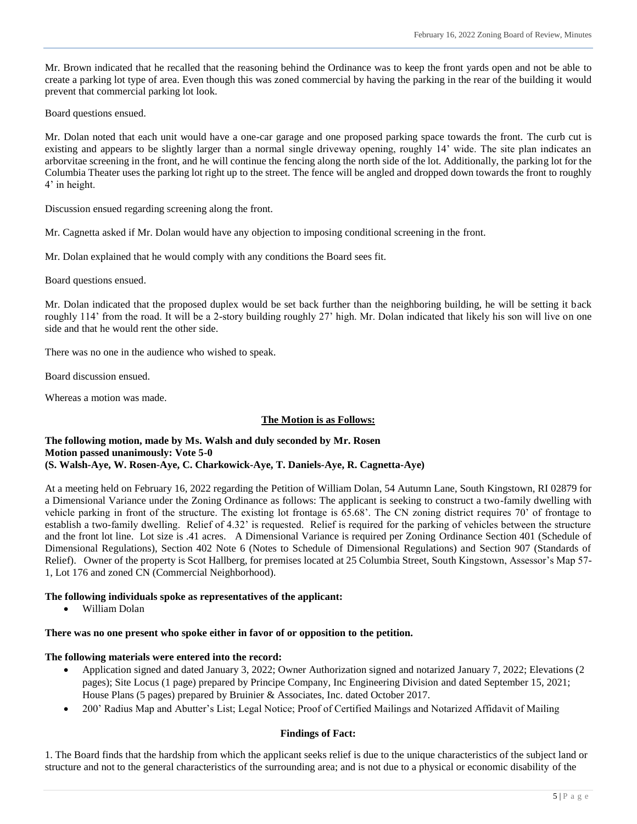Mr. Brown indicated that he recalled that the reasoning behind the Ordinance was to keep the front yards open and not be able to create a parking lot type of area. Even though this was zoned commercial by having the parking in the rear of the building it would prevent that commercial parking lot look.

Board questions ensued.

Mr. Dolan noted that each unit would have a one-car garage and one proposed parking space towards the front. The curb cut is existing and appears to be slightly larger than a normal single driveway opening, roughly 14' wide. The site plan indicates an arborvitae screening in the front, and he will continue the fencing along the north side of the lot. Additionally, the parking lot for the Columbia Theater uses the parking lot right up to the street. The fence will be angled and dropped down towards the front to roughly 4' in height.

Discussion ensued regarding screening along the front.

Mr. Cagnetta asked if Mr. Dolan would have any objection to imposing conditional screening in the front.

Mr. Dolan explained that he would comply with any conditions the Board sees fit.

Board questions ensued.

Mr. Dolan indicated that the proposed duplex would be set back further than the neighboring building, he will be setting it back roughly 114' from the road. It will be a 2-story building roughly 27' high. Mr. Dolan indicated that likely his son will live on one side and that he would rent the other side.

There was no one in the audience who wished to speak.

Board discussion ensued.

Whereas a motion was made.

#### **The Motion is as Follows:**

#### **The following motion, made by Ms. Walsh and duly seconded by Mr. Rosen Motion passed unanimously: Vote 5-0 (S. Walsh-Aye, W. Rosen-Aye, C. Charkowick-Aye, T. Daniels-Aye, R. Cagnetta-Aye)**

At a meeting held on February 16, 2022 regarding the Petition of William Dolan, 54 Autumn Lane, South Kingstown, RI 02879 for a Dimensional Variance under the Zoning Ordinance as follows: The applicant is seeking to construct a two-family dwelling with vehicle parking in front of the structure. The existing lot frontage is 65.68'. The CN zoning district requires 70' of frontage to establish a two-family dwelling. Relief of 4.32' is requested. Relief is required for the parking of vehicles between the structure and the front lot line. Lot size is .41 acres. A Dimensional Variance is required per Zoning Ordinance Section 401 (Schedule of Dimensional Regulations), Section 402 Note 6 (Notes to Schedule of Dimensional Regulations) and Section 907 (Standards of Relief). Owner of the property is Scot Hallberg, for premises located at 25 Columbia Street, South Kingstown, Assessor's Map 57- 1, Lot 176 and zoned CN (Commercial Neighborhood).

## **The following individuals spoke as representatives of the applicant:**

William Dolan

#### **There was no one present who spoke either in favor of or opposition to the petition.**

#### **The following materials were entered into the record:**

- Application signed and dated January 3, 2022; Owner Authorization signed and notarized January 7, 2022; Elevations (2 pages); Site Locus (1 page) prepared by Principe Company, Inc Engineering Division and dated September 15, 2021; House Plans (5 pages) prepared by Bruinier & Associates, Inc. dated October 2017.
- 200' Radius Map and Abutter's List; Legal Notice; Proof of Certified Mailings and Notarized Affidavit of Mailing

## **Findings of Fact:**

1. The Board finds that the hardship from which the applicant seeks relief is due to the unique characteristics of the subject land or structure and not to the general characteristics of the surrounding area; and is not due to a physical or economic disability of the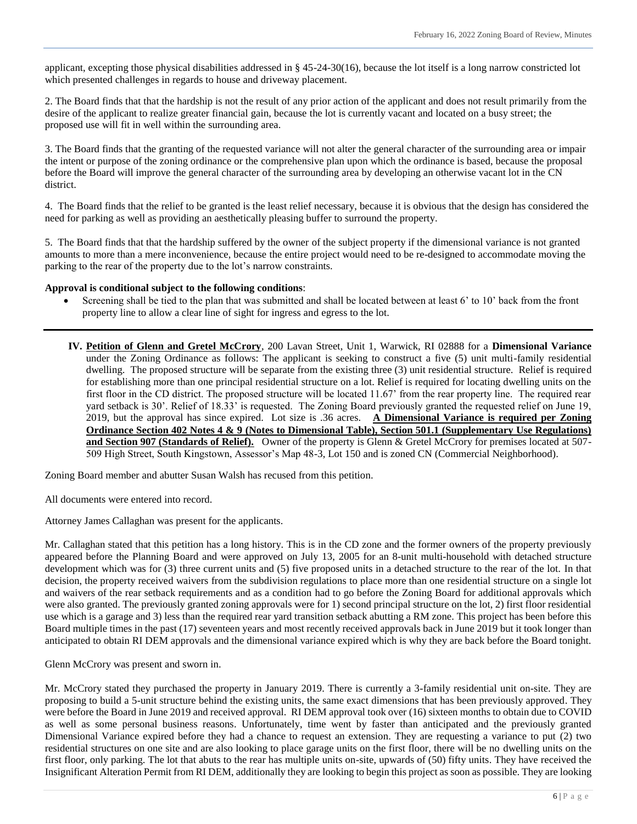applicant, excepting those physical disabilities addressed in § 45-24-30(16), because the lot itself is a long narrow constricted lot which presented challenges in regards to house and driveway placement.

2. The Board finds that that the hardship is not the result of any prior action of the applicant and does not result primarily from the desire of the applicant to realize greater financial gain, because the lot is currently vacant and located on a busy street; the proposed use will fit in well within the surrounding area.

3. The Board finds that the granting of the requested variance will not alter the general character of the surrounding area or impair the intent or purpose of the zoning ordinance or the comprehensive plan upon which the ordinance is based, because the proposal before the Board will improve the general character of the surrounding area by developing an otherwise vacant lot in the CN district.

4. The Board finds that the relief to be granted is the least relief necessary, because it is obvious that the design has considered the need for parking as well as providing an aesthetically pleasing buffer to surround the property.

5. The Board finds that that the hardship suffered by the owner of the subject property if the dimensional variance is not granted amounts to more than a mere inconvenience, because the entire project would need to be re-designed to accommodate moving the parking to the rear of the property due to the lot's narrow constraints.

#### **Approval is conditional subject to the following conditions**:

- Screening shall be tied to the plan that was submitted and shall be located between at least 6' to 10' back from the front property line to allow a clear line of sight for ingress and egress to the lot.
- **IV. Petition of Glenn and Gretel McCrory**, 200 Lavan Street, Unit 1, Warwick, RI 02888 for a **Dimensional Variance** under the Zoning Ordinance as follows: The applicant is seeking to construct a five (5) unit multi-family residential dwelling. The proposed structure will be separate from the existing three (3) unit residential structure. Relief is required for establishing more than one principal residential structure on a lot. Relief is required for locating dwelling units on the first floor in the CD district. The proposed structure will be located 11.67' from the rear property line. The required rear yard setback is 30'. Relief of 18.33' is requested. The Zoning Board previously granted the requested relief on June 19, 2019, but the approval has since expired. Lot size is .36 acres. **A Dimensional Variance is required per Zoning Ordinance Section 402 Notes 4 & 9 (Notes to Dimensional Table), Section 501.1 (Supplementary Use Regulations) and Section 907 (Standards of Relief).** Owner of the property is Glenn & Gretel McCrory for premises located at 507- 509 High Street, South Kingstown, Assessor's Map 48-3, Lot 150 and is zoned CN (Commercial Neighborhood).

Zoning Board member and abutter Susan Walsh has recused from this petition.

All documents were entered into record.

Attorney James Callaghan was present for the applicants.

Mr. Callaghan stated that this petition has a long history. This is in the CD zone and the former owners of the property previously appeared before the Planning Board and were approved on July 13, 2005 for an 8-unit multi-household with detached structure development which was for (3) three current units and (5) five proposed units in a detached structure to the rear of the lot. In that decision, the property received waivers from the subdivision regulations to place more than one residential structure on a single lot and waivers of the rear setback requirements and as a condition had to go before the Zoning Board for additional approvals which were also granted. The previously granted zoning approvals were for 1) second principal structure on the lot, 2) first floor residential use which is a garage and 3) less than the required rear yard transition setback abutting a RM zone. This project has been before this Board multiple times in the past (17) seventeen years and most recently received approvals back in June 2019 but it took longer than anticipated to obtain RI DEM approvals and the dimensional variance expired which is why they are back before the Board tonight.

Glenn McCrory was present and sworn in.

Mr. McCrory stated they purchased the property in January 2019. There is currently a 3-family residential unit on-site. They are proposing to build a 5-unit structure behind the existing units, the same exact dimensions that has been previously approved. They were before the Board in June 2019 and received approval. RI DEM approval took over (16) sixteen months to obtain due to COVID as well as some personal business reasons. Unfortunately, time went by faster than anticipated and the previously granted Dimensional Variance expired before they had a chance to request an extension. They are requesting a variance to put (2) two residential structures on one site and are also looking to place garage units on the first floor, there will be no dwelling units on the first floor, only parking. The lot that abuts to the rear has multiple units on-site, upwards of (50) fifty units. They have received the Insignificant Alteration Permit from RI DEM, additionally they are looking to begin this project as soon as possible. They are looking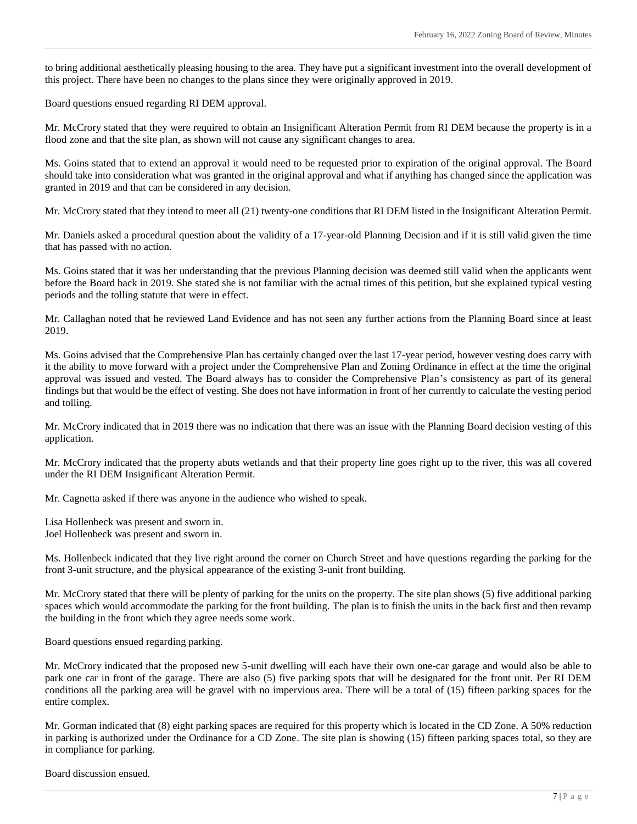to bring additional aesthetically pleasing housing to the area. They have put a significant investment into the overall development of this project. There have been no changes to the plans since they were originally approved in 2019.

Board questions ensued regarding RI DEM approval.

Mr. McCrory stated that they were required to obtain an Insignificant Alteration Permit from RI DEM because the property is in a flood zone and that the site plan, as shown will not cause any significant changes to area.

Ms. Goins stated that to extend an approval it would need to be requested prior to expiration of the original approval. The Board should take into consideration what was granted in the original approval and what if anything has changed since the application was granted in 2019 and that can be considered in any decision.

Mr. McCrory stated that they intend to meet all (21) twenty-one conditions that RI DEM listed in the Insignificant Alteration Permit.

Mr. Daniels asked a procedural question about the validity of a 17-year-old Planning Decision and if it is still valid given the time that has passed with no action.

Ms. Goins stated that it was her understanding that the previous Planning decision was deemed still valid when the applicants went before the Board back in 2019. She stated she is not familiar with the actual times of this petition, but she explained typical vesting periods and the tolling statute that were in effect.

Mr. Callaghan noted that he reviewed Land Evidence and has not seen any further actions from the Planning Board since at least 2019.

Ms. Goins advised that the Comprehensive Plan has certainly changed over the last 17-year period, however vesting does carry with it the ability to move forward with a project under the Comprehensive Plan and Zoning Ordinance in effect at the time the original approval was issued and vested. The Board always has to consider the Comprehensive Plan's consistency as part of its general findings but that would be the effect of vesting. She does not have information in front of her currently to calculate the vesting period and tolling.

Mr. McCrory indicated that in 2019 there was no indication that there was an issue with the Planning Board decision vesting of this application.

Mr. McCrory indicated that the property abuts wetlands and that their property line goes right up to the river, this was all covered under the RI DEM Insignificant Alteration Permit.

Mr. Cagnetta asked if there was anyone in the audience who wished to speak.

Lisa Hollenbeck was present and sworn in. Joel Hollenbeck was present and sworn in.

Ms. Hollenbeck indicated that they live right around the corner on Church Street and have questions regarding the parking for the front 3-unit structure, and the physical appearance of the existing 3-unit front building.

Mr. McCrory stated that there will be plenty of parking for the units on the property. The site plan shows (5) five additional parking spaces which would accommodate the parking for the front building. The plan is to finish the units in the back first and then revamp the building in the front which they agree needs some work.

Board questions ensued regarding parking.

Mr. McCrory indicated that the proposed new 5-unit dwelling will each have their own one-car garage and would also be able to park one car in front of the garage. There are also (5) five parking spots that will be designated for the front unit. Per RI DEM conditions all the parking area will be gravel with no impervious area. There will be a total of (15) fifteen parking spaces for the entire complex.

Mr. Gorman indicated that (8) eight parking spaces are required for this property which is located in the CD Zone. A 50% reduction in parking is authorized under the Ordinance for a CD Zone. The site plan is showing (15) fifteen parking spaces total, so they are in compliance for parking.

Board discussion ensued.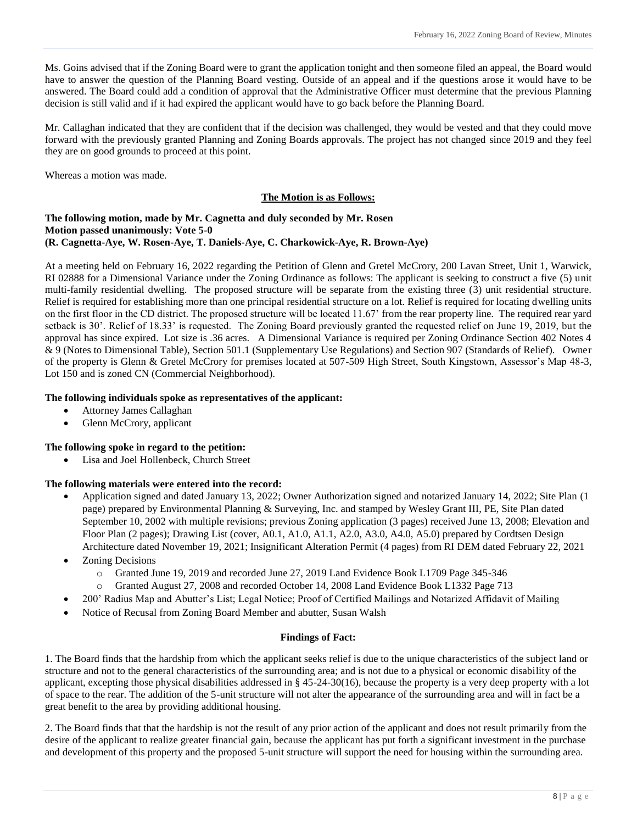Ms. Goins advised that if the Zoning Board were to grant the application tonight and then someone filed an appeal, the Board would have to answer the question of the Planning Board vesting. Outside of an appeal and if the questions arose it would have to be answered. The Board could add a condition of approval that the Administrative Officer must determine that the previous Planning decision is still valid and if it had expired the applicant would have to go back before the Planning Board.

Mr. Callaghan indicated that they are confident that if the decision was challenged, they would be vested and that they could move forward with the previously granted Planning and Zoning Boards approvals. The project has not changed since 2019 and they feel they are on good grounds to proceed at this point.

Whereas a motion was made.

## **The Motion is as Follows:**

## **The following motion, made by Mr. Cagnetta and duly seconded by Mr. Rosen Motion passed unanimously: Vote 5-0 (R. Cagnetta-Aye, W. Rosen-Aye, T. Daniels-Aye, C. Charkowick-Aye, R. Brown-Aye)**

At a meeting held on February 16, 2022 regarding the Petition of Glenn and Gretel McCrory, 200 Lavan Street, Unit 1, Warwick, RI 02888 for a Dimensional Variance under the Zoning Ordinance as follows: The applicant is seeking to construct a five (5) unit multi-family residential dwelling. The proposed structure will be separate from the existing three (3) unit residential structure. Relief is required for establishing more than one principal residential structure on a lot. Relief is required for locating dwelling units on the first floor in the CD district. The proposed structure will be located 11.67' from the rear property line. The required rear yard setback is 30'. Relief of 18.33' is requested. The Zoning Board previously granted the requested relief on June 19, 2019, but the approval has since expired. Lot size is .36 acres. A Dimensional Variance is required per Zoning Ordinance Section 402 Notes 4 & 9 (Notes to Dimensional Table), Section 501.1 (Supplementary Use Regulations) and Section 907 (Standards of Relief). Owner of the property is Glenn & Gretel McCrory for premises located at 507-509 High Street, South Kingstown, Assessor's Map 48-3, Lot 150 and is zoned CN (Commercial Neighborhood).

## **The following individuals spoke as representatives of the applicant:**

- Attorney James Callaghan
- Glenn McCrory, applicant

## **The following spoke in regard to the petition:**

Lisa and Joel Hollenbeck, Church Street

## **The following materials were entered into the record:**

- Application signed and dated January 13, 2022; Owner Authorization signed and notarized January 14, 2022; Site Plan (1 page) prepared by Environmental Planning & Surveying, Inc. and stamped by Wesley Grant III, PE, Site Plan dated September 10, 2002 with multiple revisions; previous Zoning application (3 pages) received June 13, 2008; Elevation and Floor Plan (2 pages); Drawing List (cover, A0.1, A1.0, A1.1, A2.0, A3.0, A4.0, A5.0) prepared by Cordtsen Design Architecture dated November 19, 2021; Insignificant Alteration Permit (4 pages) from RI DEM dated February 22, 2021
- Zoning Decisions
	- o Granted June 19, 2019 and recorded June 27, 2019 Land Evidence Book L1709 Page 345-346
	- o Granted August 27, 2008 and recorded October 14, 2008 Land Evidence Book L1332 Page 713
	- 200' Radius Map and Abutter's List; Legal Notice; Proof of Certified Mailings and Notarized Affidavit of Mailing
- Notice of Recusal from Zoning Board Member and abutter, Susan Walsh

#### **Findings of Fact:**

1. The Board finds that the hardship from which the applicant seeks relief is due to the unique characteristics of the subject land or structure and not to the general characteristics of the surrounding area; and is not due to a physical or economic disability of the applicant, excepting those physical disabilities addressed in § 45-24-30(16), because the property is a very deep property with a lot of space to the rear. The addition of the 5-unit structure will not alter the appearance of the surrounding area and will in fact be a great benefit to the area by providing additional housing.

2. The Board finds that that the hardship is not the result of any prior action of the applicant and does not result primarily from the desire of the applicant to realize greater financial gain, because the applicant has put forth a significant investment in the purchase and development of this property and the proposed 5-unit structure will support the need for housing within the surrounding area.